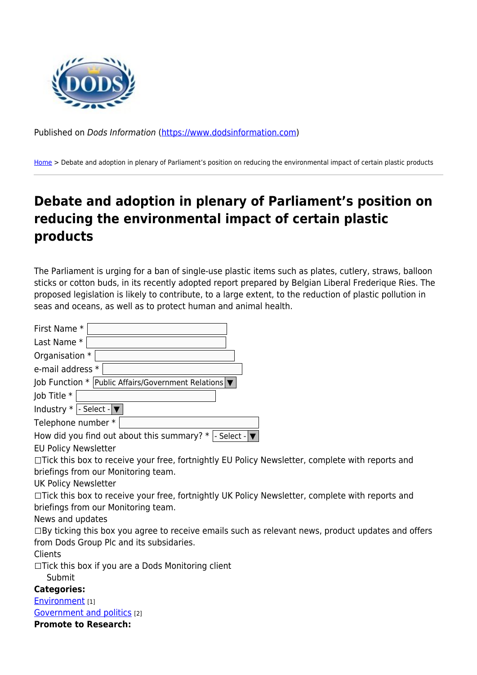

Published on Dods Information ([https://www.dodsinformation.com\)](https://www.dodsinformation.com)

[Home](https://www.dodsinformation.com/) > Debate and adoption in plenary of Parliament's position on reducing the environmental impact of certain plastic products

## **Debate and adoption in plenary of Parliament's position on reducing the environmental impact of certain plastic products**

The Parliament is urging for a ban of single-use plastic items such as plates, cutlery, straws, balloon sticks or cotton buds, in its recently adopted report prepared by Belgian Liberal Frederique Ries. The proposed legislation is likely to contribute, to a large extent, to the reduction of plastic pollution in seas and oceans, as well as to protect human and animal health.

| First Name *                                                                                             |
|----------------------------------------------------------------------------------------------------------|
| Last Name *                                                                                              |
| Organisation *                                                                                           |
| e-mail address *                                                                                         |
| Job Function $*$ Public Affairs/Government Relations $\blacktriangledown$                                |
| Job Title *                                                                                              |
| Industry $*$   - Select - $\blacktriangledown$                                                           |
| Telephone number *                                                                                       |
| How did you find out about this summary? $*$  - Select - $\blacktriangledown$                            |
| <b>EU Policy Newsletter</b>                                                                              |
| □Tick this box to receive your free, fortnightly EU Policy Newsletter, complete with reports and         |
| briefings from our Monitoring team.                                                                      |
| <b>UK Policy Newsletter</b>                                                                              |
| □Tick this box to receive your free, fortnightly UK Policy Newsletter, complete with reports and         |
| briefings from our Monitoring team.                                                                      |
| News and updates                                                                                         |
| $\Box$ By ticking this box you agree to receive emails such as relevant news, product updates and offers |
| from Dods Group Plc and its subsidaries.                                                                 |
| Clients                                                                                                  |
| $\Box$ Tick this box if you are a Dods Monitoring client                                                 |
| Submit                                                                                                   |
| <b>Categories:</b>                                                                                       |
| Environment [1]                                                                                          |
| Government and politics [2]                                                                              |
| <b>Promote to Research:</b>                                                                              |
|                                                                                                          |